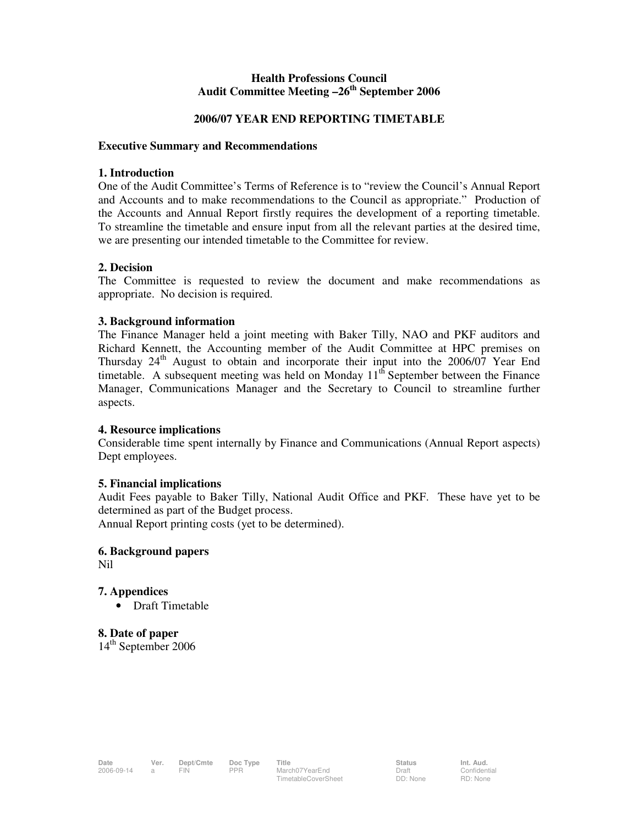# **Health Professions Council Audit Committee Meeting –26th September 2006**

## **2006/07 YEAR END REPORTING TIMETABLE**

## **Executive Summary and Recommendations**

## **1. Introduction**

One of the Audit Committee's Terms of Reference is to "review the Council's Annual Report and Accounts and to make recommendations to the Council as appropriate." Production of the Accounts and Annual Report firstly requires the development of a reporting timetable. To streamline the timetable and ensure input from all the relevant parties at the desired time, we are presenting our intended timetable to the Committee for review.

## **2. Decision**

The Committee is requested to review the document and make recommendations as appropriate. No decision is required.

## **3. Background information**

The Finance Manager held a joint meeting with Baker Tilly, NAO and PKF auditors and Richard Kennett, the Accounting member of the Audit Committee at HPC premises on Thursday  $24<sup>th</sup>$  August to obtain and incorporate their input into the 2006/07 Year End timetable. A subsequent meeting was held on Monday  $11<sup>th</sup>$  September between the Finance Manager, Communications Manager and the Secretary to Council to streamline further aspects.

#### **4. Resource implications**

Considerable time spent internally by Finance and Communications (Annual Report aspects) Dept employees.

#### **5. Financial implications**

Audit Fees payable to Baker Tilly, National Audit Office and PKF. These have yet to be determined as part of the Budget process.

Annual Report printing costs (yet to be determined).

# **6. Background papers**

Nil

# **7. Appendices**

• Draft Timetable

**8. Date of paper**  14<sup>th</sup> September 2006

**Confidential** RD: None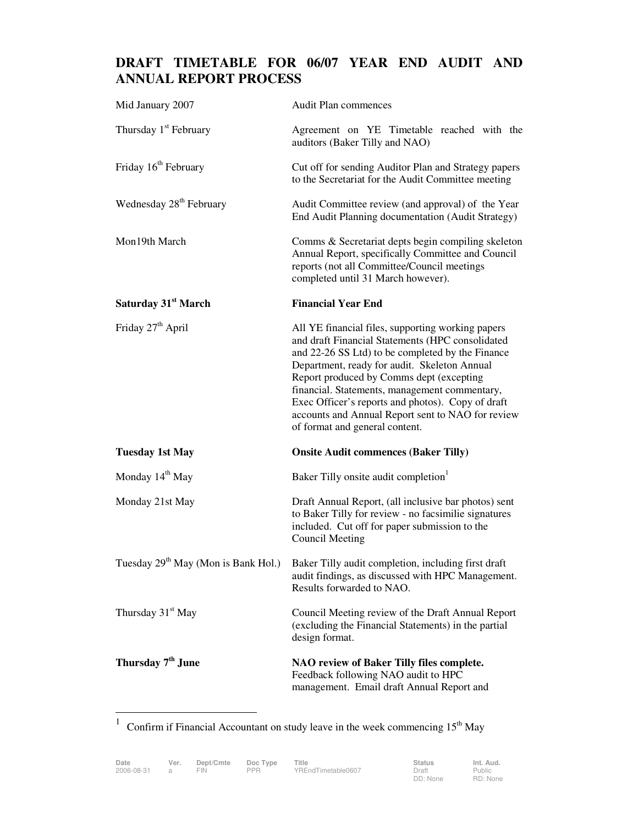# **DRAFT TIMETABLE FOR 06/07 YEAR END AUDIT AND ANNUAL REPORT PROCESS**

| Mid January 2007                    | Audit Plan commences                                                                                                                                                                                                                                                                                                                                                                                                                               |
|-------------------------------------|----------------------------------------------------------------------------------------------------------------------------------------------------------------------------------------------------------------------------------------------------------------------------------------------------------------------------------------------------------------------------------------------------------------------------------------------------|
| Thursday 1 <sup>st</sup> February   | Agreement on YE Timetable reached with the<br>auditors (Baker Tilly and NAO)                                                                                                                                                                                                                                                                                                                                                                       |
| Friday 16 <sup>th</sup> February    | Cut off for sending Auditor Plan and Strategy papers<br>to the Secretariat for the Audit Committee meeting                                                                                                                                                                                                                                                                                                                                         |
| Wednesday 28 <sup>th</sup> February | Audit Committee review (and approval) of the Year<br>End Audit Planning documentation (Audit Strategy)                                                                                                                                                                                                                                                                                                                                             |
| Mon19th March                       | Comms & Secretariat depts begin compiling skeleton<br>Annual Report, specifically Committee and Council<br>reports (not all Committee/Council meetings<br>completed until 31 March however).                                                                                                                                                                                                                                                       |
| Saturday 31 <sup>st</sup> March     | <b>Financial Year End</b>                                                                                                                                                                                                                                                                                                                                                                                                                          |
| Friday 27 <sup>th</sup> April       | All YE financial files, supporting working papers<br>and draft Financial Statements (HPC consolidated<br>and 22-26 SS Ltd) to be completed by the Finance<br>Department, ready for audit. Skeleton Annual<br>Report produced by Comms dept (excepting<br>financial. Statements, management commentary,<br>Exec Officer's reports and photos). Copy of draft<br>accounts and Annual Report sent to NAO for review<br>of format and general content. |
| <b>Tuesday 1st May</b>              | <b>Onsite Audit commences (Baker Tilly)</b>                                                                                                                                                                                                                                                                                                                                                                                                        |
| Monday 14 <sup>th</sup> May         | Baker Tilly onsite audit completion                                                                                                                                                                                                                                                                                                                                                                                                                |
| Monday 21st May                     | Draft Annual Report, (all inclusive bar photos) sent<br>to Baker Tilly for review - no facsimilie signatures<br>included. Cut off for paper submission to the<br><b>Council Meeting</b>                                                                                                                                                                                                                                                            |
|                                     | Tuesday 29 <sup>th</sup> May (Mon is Bank Hol.) Baker Tilly audit completion, including first draft<br>audit findings, as discussed with HPC Management.<br>Results forwarded to NAO.                                                                                                                                                                                                                                                              |
| Thursday 31 <sup>st</sup> May       | Council Meeting review of the Draft Annual Report<br>(excluding the Financial Statements) in the partial<br>design format.                                                                                                                                                                                                                                                                                                                         |
| Thursday 7 <sup>th</sup> June       | NAO review of Baker Tilly files complete.<br>Feedback following NAO audit to HPC<br>management. Email draft Annual Report and                                                                                                                                                                                                                                                                                                                      |

 $\frac{1}{1}$ Confirm if Financial Accountant on study leave in the week commencing  $15<sup>th</sup>$  May